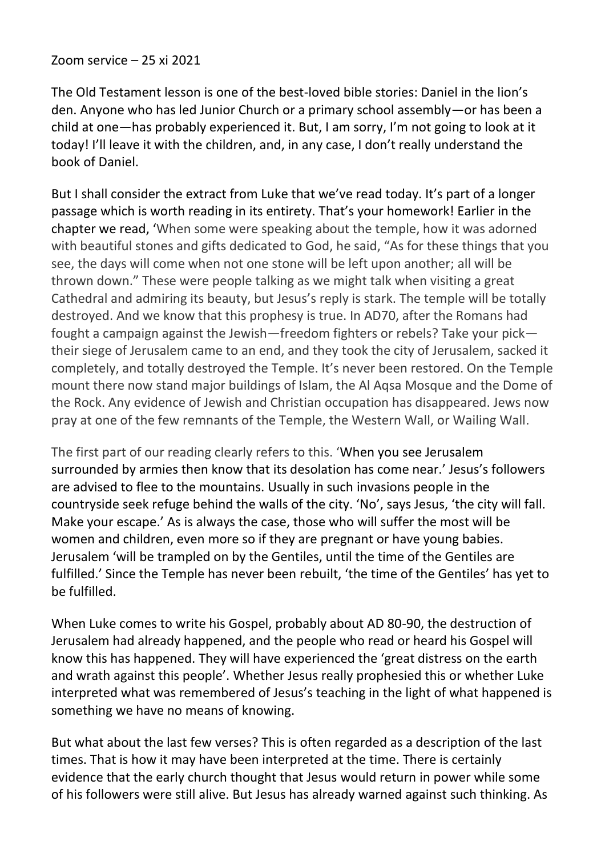Zoom service – 25 xi 2021

The Old Testament lesson is one of the best-loved bible stories: Daniel in the lion's den. Anyone who has led Junior Church or a primary school assembly—or has been a child at one—has probably experienced it. But, I am sorry, I'm not going to look at it today! I'll leave it with the children, and, in any case, I don't really understand the book of Daniel.

But I shall consider the extract from Luke that we've read today. It's part of a longer passage which is worth reading in its entirety. That's your homework! Earlier in the chapter we read, 'When some were speaking about the temple, how it was adorned with beautiful stones and gifts dedicated to God, he said, "As for these things that you see, the days will come when not one stone will be left upon another; all will be thrown down." These were people talking as we might talk when visiting a great Cathedral and admiring its beauty, but Jesus's reply is stark. The temple will be totally destroyed. And we know that this prophesy is true. In AD70, after the Romans had fought a campaign against the Jewish—freedom fighters or rebels? Take your pick their siege of Jerusalem came to an end, and they took the city of Jerusalem, sacked it completely, and totally destroyed the Temple. It's never been restored. On the Temple mount there now stand major buildings of Islam, the Al Aqsa Mosque and the Dome of the Rock. Any evidence of Jewish and Christian occupation has disappeared. Jews now pray at one of the few remnants of the Temple, the Western Wall, or Wailing Wall.

The first part of our reading clearly refers to this. 'When you see Jerusalem surrounded by armies then know that its desolation has come near.' Jesus's followers are advised to flee to the mountains. Usually in such invasions people in the countryside seek refuge behind the walls of the city. 'No', says Jesus, 'the city will fall. Make your escape.' As is always the case, those who will suffer the most will be women and children, even more so if they are pregnant or have young babies. Jerusalem 'will be trampled on by the Gentiles, until the time of the Gentiles are fulfilled.' Since the Temple has never been rebuilt, 'the time of the Gentiles' has yet to be fulfilled.

When Luke comes to write his Gospel, probably about AD 80-90, the destruction of Jerusalem had already happened, and the people who read or heard his Gospel will know this has happened. They will have experienced the 'great distress on the earth and wrath against this people'. Whether Jesus really prophesied this or whether Luke interpreted what was remembered of Jesus's teaching in the light of what happened is something we have no means of knowing.

But what about the last few verses? This is often regarded as a description of the last times. That is how it may have been interpreted at the time. There is certainly evidence that the early church thought that Jesus would return in power while some of his followers were still alive. But Jesus has already warned against such thinking. As